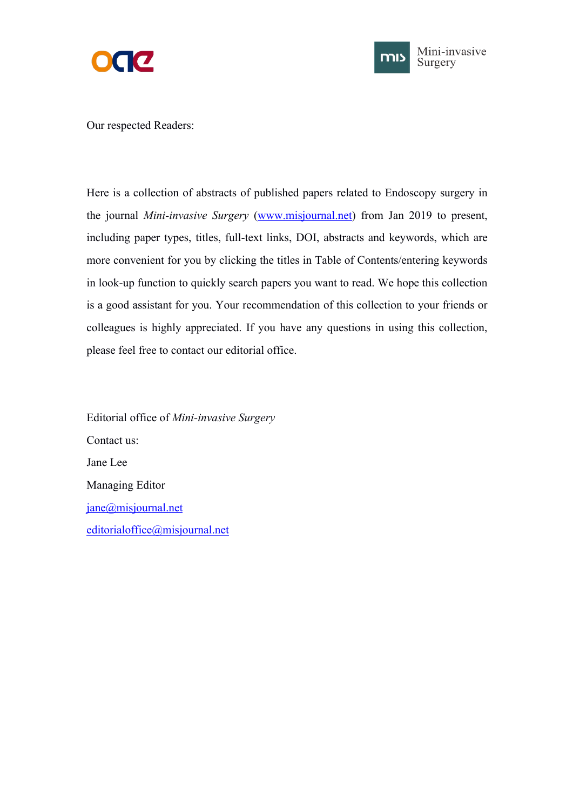



Our respected Readers:

Here is a collection of abstracts of published papers related to Endoscopy surgery in the journal *Mini-invasive Surgery* ([www.misjournal.net\)](http://www.misjournal.net) from Jan 2019 to present, including paper types, titles, full-text links, DOI, abstracts and keywords, which are more convenient for you by clicking the titles in Table of Contents/entering keywords in look-up function to quickly search papers you want to read. We hope this collection is a good assistant for you. Your recommendation of this collection to your friends or colleagues is highly appreciated. If you have any questions in using this collection, please feel free to contact our editorial office.

Editorial office of *Mini-invasive Surgery* Contact us: Jane Lee Managing Editor [jane@misjournal.net](mailto:jane@misjournal.net) [editorialoffice@misjournal.net](mailto:editorialoffice@misjournal.net)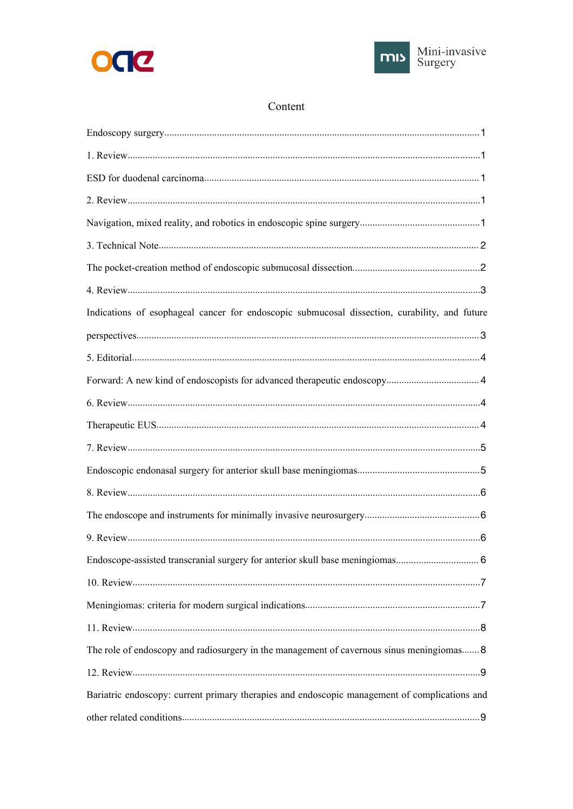



# Content

| Indications of esophageal cancer for endoscopic submucosal dissection, curability, and future |
|-----------------------------------------------------------------------------------------------|
|                                                                                               |
|                                                                                               |
|                                                                                               |
|                                                                                               |
|                                                                                               |
|                                                                                               |
|                                                                                               |
|                                                                                               |
|                                                                                               |
|                                                                                               |
| Endoscope-assisted transcranial surgery for anterior skull base meningiomas 6                 |
|                                                                                               |
|                                                                                               |
|                                                                                               |
| The role of endoscopy and radiosurgery in the management of cavernous sinus meningiomas 8     |
|                                                                                               |
| Bariatric endoscopy: current primary therapies and endoscopic management of complications and |
|                                                                                               |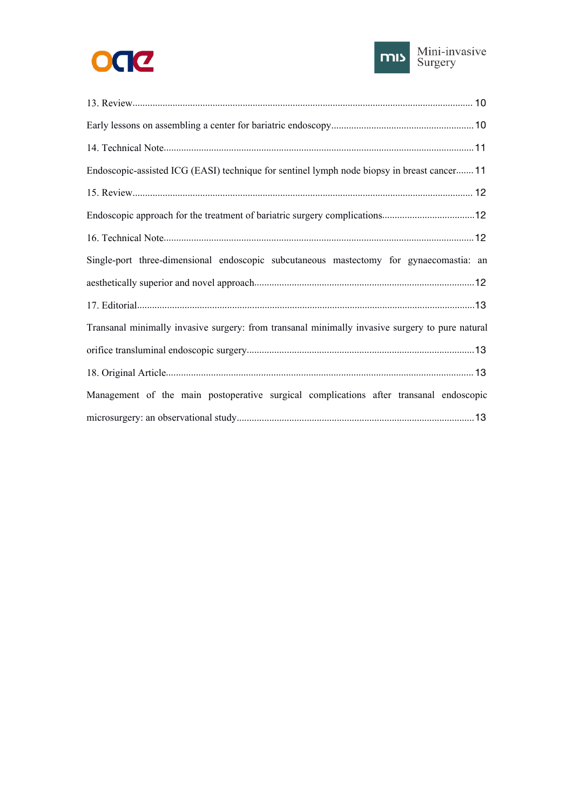



| Endoscopic-assisted ICG (EASI) technique for sentinel lymph node biopsy in breast cancer 11     |
|-------------------------------------------------------------------------------------------------|
|                                                                                                 |
|                                                                                                 |
|                                                                                                 |
| Single-port three-dimensional endoscopic subcutaneous mastectomy for gynaecomastia: an          |
|                                                                                                 |
|                                                                                                 |
| Transanal minimally invasive surgery: from transanal minimally invasive surgery to pure natural |
|                                                                                                 |
|                                                                                                 |
| Management of the main postoperative surgical complications after transanal endoscopic          |
|                                                                                                 |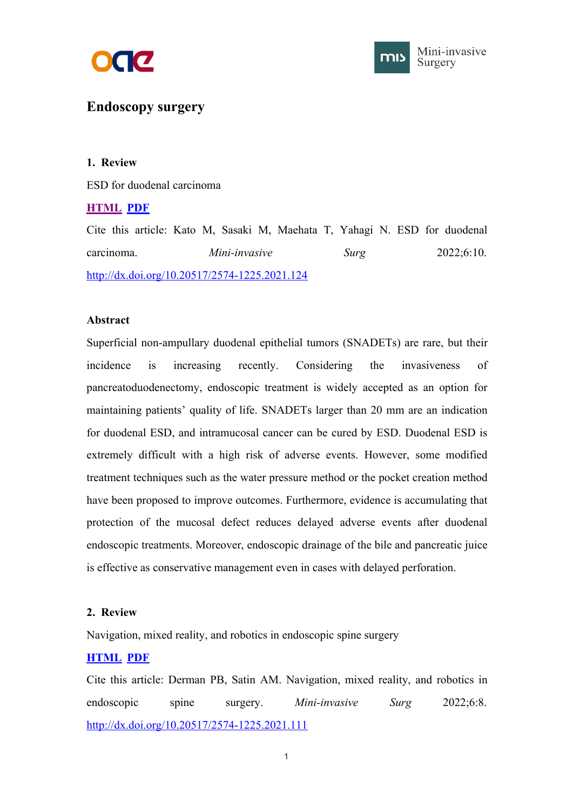



# <span id="page-3-1"></span><span id="page-3-0"></span>**Endoscopy surgery**

## **1. Review**

ESD for duodenal carcinoma

## **[HTML](https://misjournal.net/article/view/4608) [PDF](https://oaepublishstorage.blob.core.windows.net/734b0d4a-348d-46b7-a73a-a0628cc2528a/4608.pdf)**

Cite this article: Kato M, Sasaki M, Maehata T, Yahagi N. ESD for duodenal carcinoma. *Mini-invasive Surg* 2022;6:10. <http://dx.doi.org/10.20517/2574-1225.2021.124>

## **Abstract**

Superficial non-ampullary duodenal epithelial tumors (SNADETs) are rare, but their incidence is increasing recently. Considering the invasiveness of pancreatoduodenectomy, endoscopic treatment is widely accepted as an option for maintaining patients' quality of life. SNADETs larger than 20 mm are an indication for duodenal ESD, and intramucosal cancer can be cured by ESD. Duodenal ESD is extremely difficult with a high risk of adverse events. However, some modified treatment techniques such as the water pressure method or the pocket creation method have been proposed to improve outcomes. Furthermore, evidence is accumulating that protection of the mucosal defect reduces delayed adverse events after duodenal endoscopic treatments. Moreover, endoscopic drainage of the bile and pancreatic juice is effective as conservative management even in cases with delayed perforation.

## **2. Review**

Navigation, mixed reality, and robotics in endoscopic spine surgery

## **[HTML](https://misjournal.net/article/view/4606) [PDF](https://oaepublishstorage.blob.core.windows.net/dd3610cb-e8bd-4b70-a609-783e660b6a14/4606.pdf)**

Cite this article: Derman PB, Satin AM. Navigation, mixed reality, and robotics in endoscopic spine surgery. *Mini-invasive Surg* 2022;6:8. <http://dx.doi.org/10.20517/2574-1225.2021.111>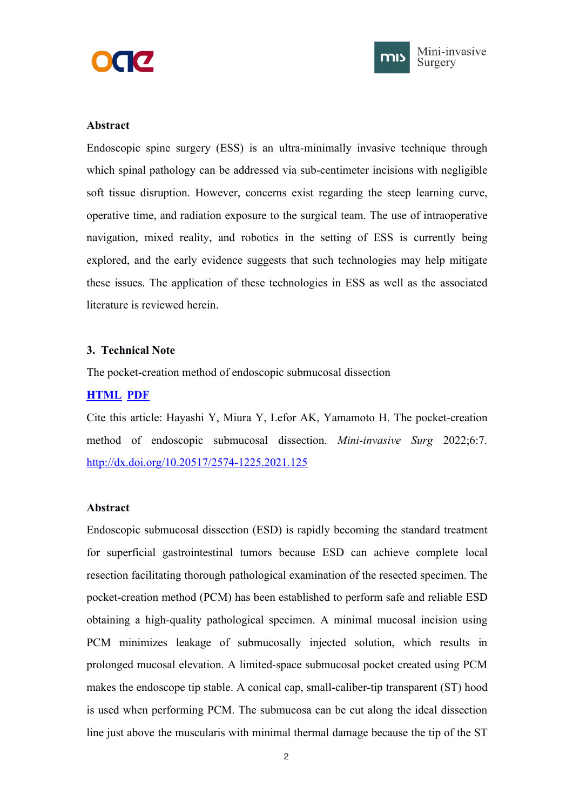



### <span id="page-4-1"></span><span id="page-4-0"></span>**Abstract**

Endoscopic spine surgery (ESS) is an ultra-minimally invasive technique through which spinal pathology can be addressed via sub-centimeter incisions with negligible soft tissue disruption. However, concerns exist regarding the steep learning curve, operative time, and radiation exposure to the surgical team. The use of intraoperative navigation, mixed reality, and robotics in the setting of ESS is currently being explored, and the early evidence suggests that such technologies may help mitigate these issues. The application of these technologies in ESS as well as the associated literature is reviewed herein.

### **3. Technical Note**

The pocket-creation method of endoscopic submucosal dissection

## **[HTML](https://misjournal.net/article/view/4585) [PDF](https://oaepublishstorage.blob.core.windows.net/42fbf4db-1411-4b0c-8e10-5122ccb58aab/4585.pdf)**

Cite this article: Hayashi Y, Miura Y, Lefor AK, Yamamoto H. The pocket-creation method of endoscopic submucosal dissection. *Mini-invasive Surg* 2022;6:7. <http://dx.doi.org/10.20517/2574-1225.2021.125>

## **Abstract**

Endoscopic submucosal dissection (ESD) is rapidly becoming the standard treatment for superficial gastrointestinal tumors because ESD can achieve complete local resection facilitating thorough pathological examination of the resected specimen. The pocket-creation method (PCM) has been established to perform safe and reliable ESD obtaining a high-quality pathological specimen. A minimal mucosal incision using PCM minimizes leakage of submucosally injected solution, which results in prolonged mucosal elevation. A limited-space submucosal pocket created using PCM makes the endoscope tip stable. A conical cap, small-caliber-tip transparent (ST) hood is used when performing PCM. The submucosa can be cut along the ideal dissection line just above the muscularis with minimal thermal damage because the tip of the ST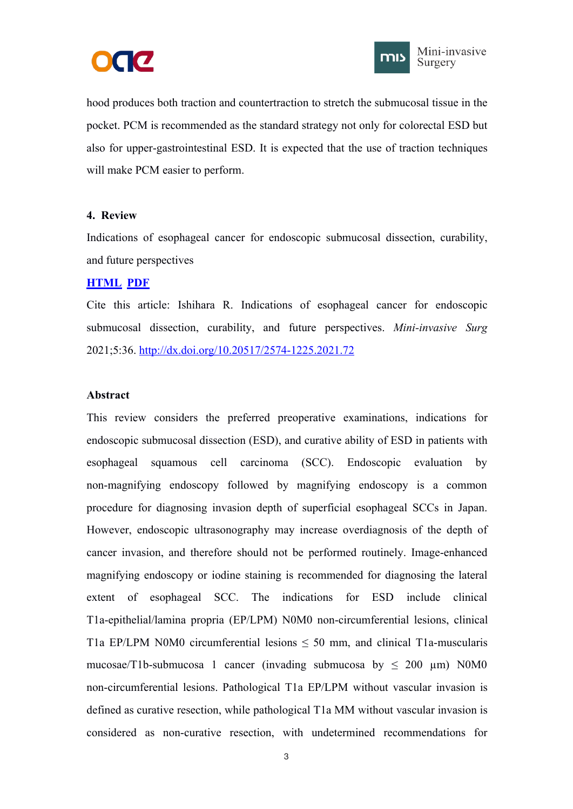



<span id="page-5-1"></span><span id="page-5-0"></span>hood produces both traction and countertraction to stretch the submucosal tissue in the pocket. PCM is recommended as the standard strategy not only for colorectal ESD but also for upper-gastrointestinal ESD. It is expected that the use of traction techniques will make PCM easier to perform.

### **4. Review**

Indications of esophageal cancer for endoscopic submucosal dissection, curability, and future perspectives

#### **[HTML](https://misjournal.net/article/view/4184) [PDF](https://oaepublishstorage.blob.core.windows.net/2e996fa0-f96b-432b-b35f-18fb88469635/4184.pdf)**

Cite this article: Ishihara R. Indications of esophageal cancer for endoscopic submucosal dissection, curability, and future perspectives. *Mini-invasive Surg* 2021;5:36. <http://dx.doi.org/10.20517/2574-1225.2021.72>

## **Abstract**

This review considers the preferred preoperative examinations, indications for endoscopic submucosal dissection (ESD), and curative ability of ESD in patients with esophageal squamous cell carcinoma (SCC). Endoscopic evaluation by non-magnifying endoscopy followed by magnifying endoscopy is a common procedure for diagnosing invasion depth of superficial esophageal SCCs in Japan. However, endoscopic ultrasonography may increase overdiagnosis of the depth of cancer invasion, and therefore should not be performed routinely. Image-enhanced magnifying endoscopy or iodine staining is recommended for diagnosing the lateral extent of esophageal SCC. The indications for ESD include clinical T1a-epithelial/lamina propria (EP/LPM) N0M0 non-circumferential lesions, clinical T1a EP/LPM N0M0 circumferential lesions  $\leq$  50 mm, and clinical T1a-muscularis mucosae/T1b-submucosa 1 cancer (invading submucosa by  $\leq 200 \mu m$ ) N0M0 non-circumferential lesions. Pathological T1a EP/LPM without vascular invasion is defined as curative resection, while pathological T1a MM without vascular invasion is considered as non-curative resection, with undetermined recommendations for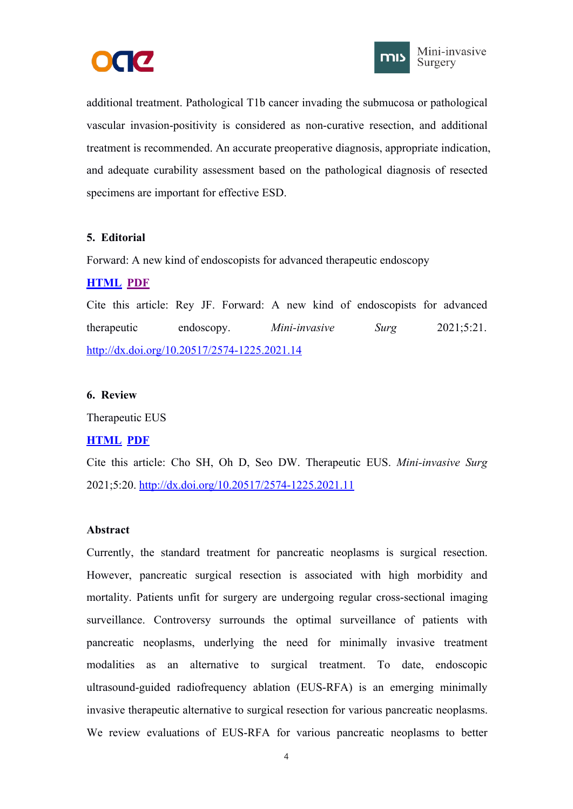



<span id="page-6-1"></span><span id="page-6-0"></span>additional treatment. Pathological T1b cancer invading the submucosa or pathological vascular invasion-positivity is considered as non-curative resection, and additional treatment is recommended. An accurate preoperative diagnosis, appropriate indication, and adequate curability assessment based on the pathological diagnosis of resected specimens are important for effective ESD.

## **5. Editorial**

Forward: A new kind of endoscopists for advanced therapeutic endoscopy

## **[HTML](https://misjournal.net/article/view/4026) [PDF](https://oaepublishstorage.blob.core.windows.net/3e779bc6-671c-4e8c-822f-885350c57474/4026.pdf)**

Cite this article: Rey JF. Forward: A new kind of endoscopists for advanced therapeutic endoscopy. *Mini-invasive Surg* 2021;5:21. <http://dx.doi.org/10.20517/2574-1225.2021.14>

## **6. Review**

Therapeutic EUS

## **[HTML](https://misjournal.net/article/view/4025) [PDF](https://oaepublishstorage.blob.core.windows.net/2bb741d6-2d96-4299-ba74-a5df11eb5a9f/4025.pdf)**

Cite this article: Cho SH, Oh D, Seo DW. Therapeutic EUS. *Mini-invasive Surg* 2021;5:20. <http://dx.doi.org/10.20517/2574-1225.2021.11>

## **Abstract**

Currently, the standard treatment for pancreatic neoplasms is surgical resection. However, pancreatic surgical resection is associated with high morbidity and mortality. Patients unfit for surgery are undergoing regular cross-sectional imaging surveillance. Controversy surrounds the optimal surveillance of patients with pancreatic neoplasms, underlying the need for minimally invasive treatment modalities as an alternative to surgical treatment. To date, endoscopic ultrasound-guided radiofrequency ablation (EUS-RFA) is an emerging minimally invasive therapeutic alternative to surgical resection for various pancreatic neoplasms. We review evaluations of EUS-RFA for various pancreatic neoplasms to better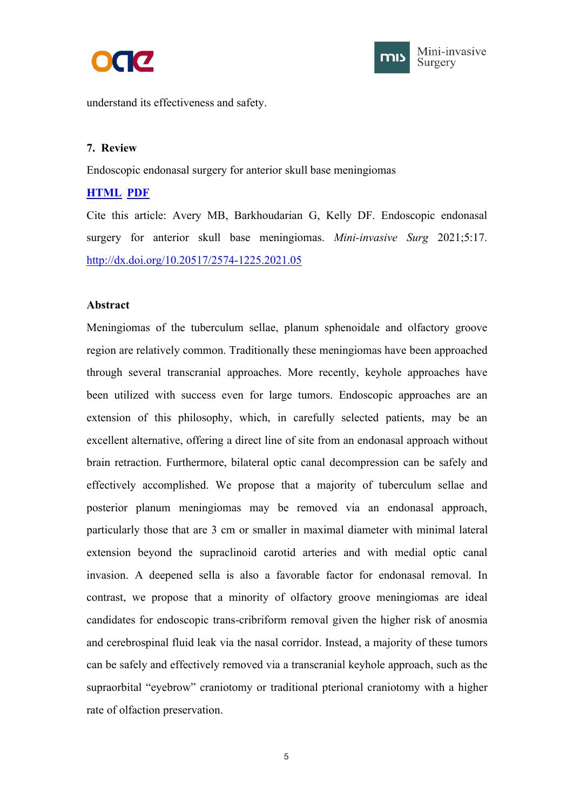



<span id="page-7-1"></span><span id="page-7-0"></span>understand its effectiveness and safety.

### **7. Review**

Endoscopic endonasal surgery for anterior skull base meningiomas

## **[HTML](https://misjournal.net/article/view/3999) [PDF](https://oaepublishstorage.blob.core.windows.net/2a67d914-7651-4645-8f64-b8c2aadcac20/3999.pdf)**

Cite this article: Avery MB, Barkhoudarian G, Kelly DF. Endoscopic endonasal surgery for anterior skull base meningiomas. *Mini-invasive Surg* 2021;5:17. <http://dx.doi.org/10.20517/2574-1225.2021.05>

### **Abstract**

Meningiomas of the tuberculum sellae, planum sphenoidale and olfactory groove region are relatively common. Traditionally these meningiomas have been approached through several transcranial approaches. More recently, keyhole approaches have been utilized with success even for large tumors. Endoscopic approaches are an extension of this philosophy, which, in carefully selected patients, may be an excellent alternative, offering a direct line of site from an endonasal approach without brain retraction. Furthermore, bilateral optic canal decompression can be safely and effectively accomplished. We propose that a majority of tuberculum sellae and posterior planum meningiomas may be removed via an endonasal approach, particularly those that are 3 cm or smaller in maximal diameter with minimal lateral extension beyond the supraclinoid carotid arteries and with medial optic canal invasion. A deepened sella is also a favorable factor for endonasal removal. In contrast, we propose that a minority of olfactory groove meningiomas are ideal candidates for endoscopic trans-cribriform removal given the higher risk of anosmia and cerebrospinal fluid leak via the nasal corridor. Instead, a majority of these tumors can be safely and effectively removed via a transcranial keyhole approach, such as the supraorbital "eyebrow" craniotomy or traditional pterional craniotomy with a higher rate of olfaction preservation.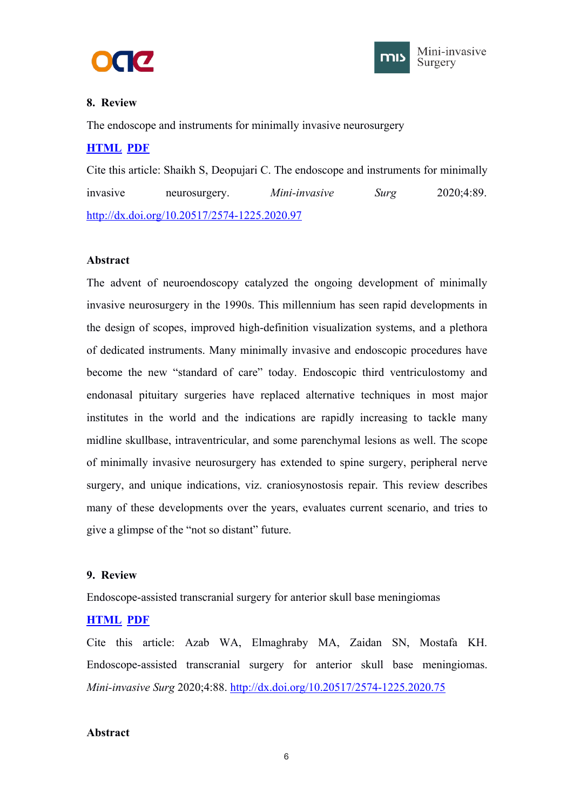



## <span id="page-8-1"></span><span id="page-8-0"></span>**8. Review**

The endoscope and instruments for minimally invasive neurosurgery

## **[HTML](https://misjournal.net/article/view/3811) [PDF](https://oaepublishstorage.blob.core.windows.net/29b64a5d-b9e0-46db-8537-d28663373146/3811.pdf)**

Cite this article: Shaikh S, Deopujari C. The endoscope and instruments for minimally invasive neurosurgery. *Mini-invasive Surg* 2020;4:89. <http://dx.doi.org/10.20517/2574-1225.2020.97>

## **Abstract**

The advent of neuroendoscopy catalyzed the ongoing development of minimally invasive neurosurgery in the 1990s. This millennium has seen rapid developments in the design of scopes, improved high-definition visualization systems, and a plethora of dedicated instruments. Many minimally invasive and endoscopic procedures have become the new "standard of care" today. Endoscopic third ventriculostomy and endonasal pituitary surgeries have replaced alternative techniques in most major institutes in the world and the indications are rapidly increasing to tackle many midline skullbase, intraventricular, and some parenchymal lesions as well. The scope of minimally invasive neurosurgery has extended to spine surgery, peripheral nerve surgery, and unique indications, viz. craniosynostosis repair. This review describes many of these developments over the years, evaluates current scenario, and tries to give a glimpse of the "not so distant" future.

## **9. Review**

Endoscope-assisted transcranial surgery for anterior skull base meningiomas

## **[HTML](https://misjournal.net/article/view/3810) [PDF](https://oaepublishstorage.blob.core.windows.net/91967c91-1378-403d-82b6-9a4e44c951e3/3810.pdf)**

Cite this article: Azab WA, Elmaghraby MA, Zaidan SN, Mostafa KH. Endoscope-assisted transcranial surgery for anterior skull base meningiomas. *Mini-invasive Surg* 2020;4:88. <http://dx.doi.org/10.20517/2574-1225.2020.75>

#### **Abstract**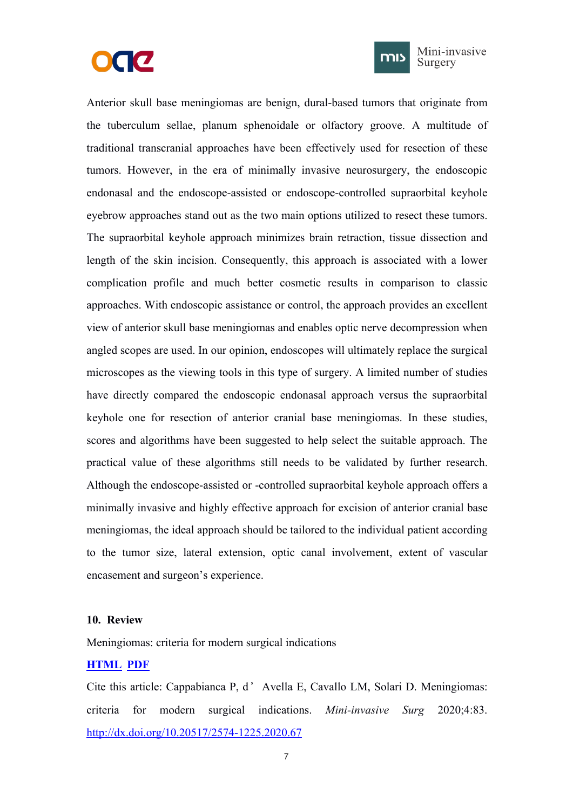



Mini-invasive Surgery

<span id="page-9-1"></span><span id="page-9-0"></span>Anterior skull base meningiomas are benign, dural-based tumors that originate from the tuberculum sellae, planum sphenoidale or olfactory groove. A multitude of traditional transcranial approaches have been effectively used for resection of these tumors. However, in the era of minimally invasive neurosurgery, the endoscopic endonasal and the endoscope-assisted or endoscope-controlled supraorbital keyhole eyebrow approaches stand out as the two main options utilized to resect these tumors. The supraorbital keyhole approach minimizes brain retraction, tissue dissection and length of the skin incision. Consequently, this approach is associated with a lower complication profile and much better cosmetic results in comparison to classic approaches. With endoscopic assistance or control, the approach provides an excellent view of anterior skull base meningiomas and enables optic nerve decompression when angled scopes are used. In our opinion, endoscopes will ultimately replace the surgical microscopes as the viewing tools in this type of surgery. A limited number of studies have directly compared the endoscopic endonasal approach versus the supraorbital keyhole one for resection of anterior cranial base meningiomas. In these studies, scores and algorithms have been suggested to help select the suitable approach. The practical value of these algorithms still needs to be validated by further research. Although the endoscope-assisted or -controlled supraorbital keyhole approach offers a minimally invasive and highly effective approach for excision of anterior cranial base meningiomas, the ideal approach should be tailored to the individual patient according to the tumor size, lateral extension, optic canal involvement, extent of vascular encasement and surgeon's experience.

#### **10. Review**

Meningiomas: criteria for modern surgical indications

#### **[HTML](https://misjournal.net/article/view/3766) [PDF](https://oaepublishstorage.blob.core.windows.net/9085b322-5602-4602-a795-f4b71f4a0446/3766.pdf)**

Cite this article: Cappabianca P, d'Avella E, Cavallo LM, Solari D. Meningiomas: criteria for modern surgical indications. *Mini-invasive Surg* 2020;4:83. <http://dx.doi.org/10.20517/2574-1225.2020.67>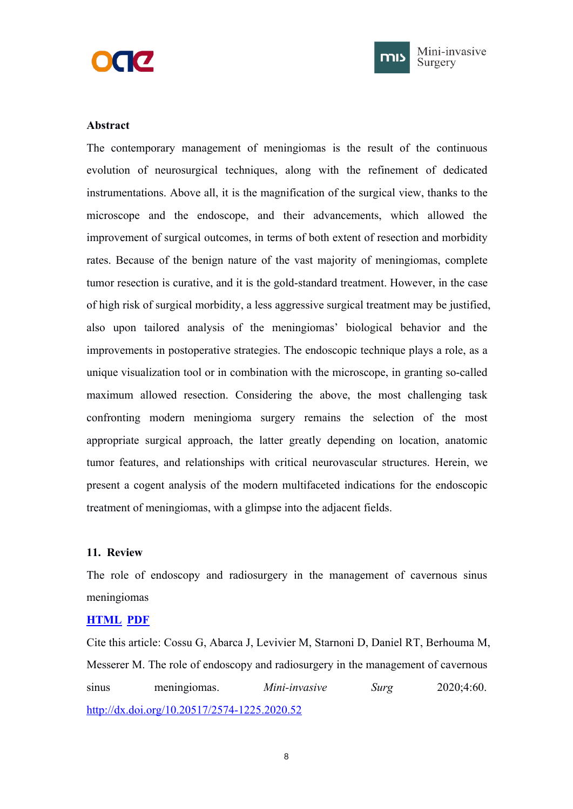



## <span id="page-10-1"></span><span id="page-10-0"></span>**Abstract**

The contemporary management of meningiomas is the result of the continuous evolution of neurosurgical techniques, along with the refinement of dedicated instrumentations. Above all, it is the magnification of the surgical view, thanks to the microscope and the endoscope, and their advancements, which allowed the improvement of surgical outcomes, in terms of both extent of resection and morbidity rates. Because of the benign nature of the vast majority of meningiomas, complete tumor resection is curative, and it is the gold-standard treatment. However, in the case of high risk of surgical morbidity, a less aggressive surgical treatment may be justified, also upon tailored analysis of the meningiomas' biological behavior and the improvements in postoperative strategies. The endoscopic technique plays a role, as a unique visualization tool or in combination with the microscope, in granting so-called maximum allowed resection. Considering the above, the most challenging task confronting modern meningioma surgery remains the selection of the most appropriate surgical approach, the latter greatly depending on location, anatomic tumor features, and relationships with critical neurovascular structures. Herein, we present a cogent analysis of the modern multifaceted indications for the endoscopic treatment of meningiomas, with a glimpse into the adjacent fields.

#### **11. Review**

The role of endoscopy and radiosurgery in the management of cavernous sinus meningiomas

### **[HTML](https://misjournal.net/article/view/3639) [PDF](https://oaepublishstorage.blob.core.windows.net/9c1a69a0-dce5-4b6c-aae7-73348322e773/3639.pdf)**

Cite this article: Cossu G, Abarca J, Levivier M, Starnoni D, Daniel RT, Berhouma M, Messerer M. The role of endoscopy and radiosurgery in the management of cavernous sinus meningiomas. *Mini-invasive Surg* 2020;4:60. <http://dx.doi.org/10.20517/2574-1225.2020.52>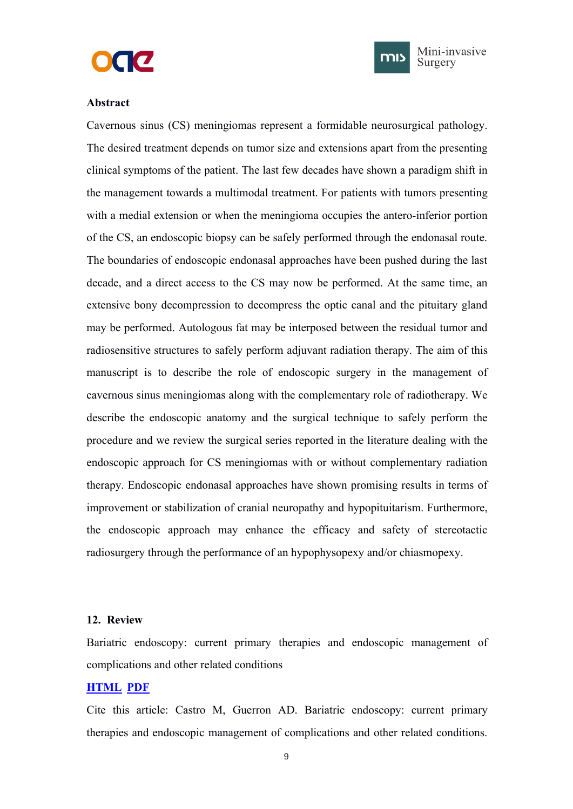



#### <span id="page-11-1"></span><span id="page-11-0"></span>**Abstract**

Cavernous sinus (CS) meningiomas represent a formidable neurosurgical pathology. The desired treatment depends on tumor size and extensions apart from the presenting clinical symptoms of the patient. The last few decades have shown a paradigm shift in the management towards a multimodal treatment. For patients with tumors presenting with a medial extension or when the meningioma occupies the antero-inferior portion of the CS, an endoscopic biopsy can be safely performed through the endonasal route. The boundaries of endoscopic endonasal approaches have been pushed during the last decade, and a direct access to the CS may now be performed. At the same time, an extensive bony decompression to decompress the optic canal and the pituitary gland may be performed. Autologous fat may be interposed between the residual tumor and radiosensitive structures to safely perform adjuvant radiation therapy. The aim of this manuscript is to describe the role of endoscopic surgery in the management of cavernous sinus meningiomas along with the complementary role of radiotherapy. We describe the endoscopic anatomy and the surgical technique to safely perform the procedure and we review the surgical series reported in the literature dealing with the endoscopic approach for CS meningiomas with or without complementary radiation therapy. Endoscopic endonasal approaches have shown promising results in terms of improvement or stabilization of cranial neuropathy and hypopituitarism. Furthermore, the endoscopic approach may enhance the efficacy and safety of stereotactic radiosurgery through the performance of an hypophysopexy and/or chiasmopexy.

#### **12. Review**

Bariatric endoscopy: current primary therapies and endoscopic management of complications and other related conditions

## **[HTML](https://misjournal.net/article/view/3586) [PDF](https://oaepublishstorage.blob.core.windows.net/02392561-1c5b-42dc-b370-697baac4c730/3586.pdf)**

Cite this article: Castro M, Guerron AD. Bariatric endoscopy: current primary therapies and endoscopic management of complications and other related conditions.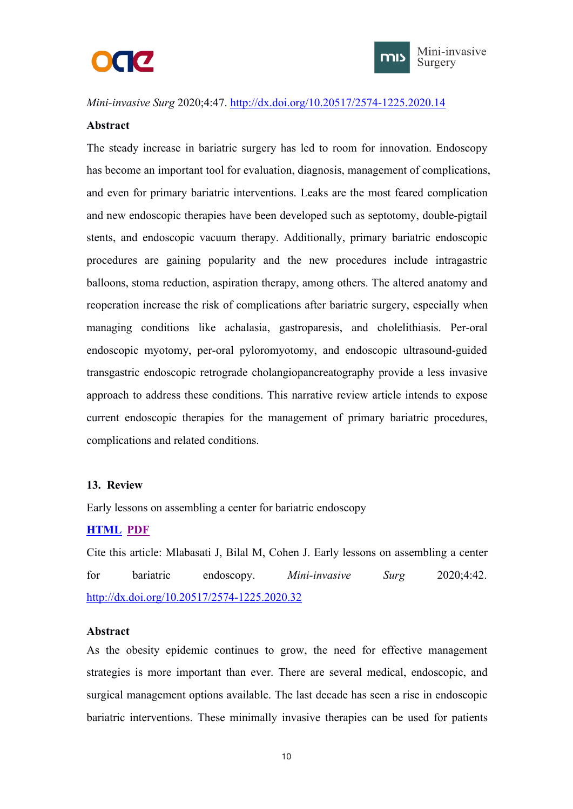



<span id="page-12-1"></span><span id="page-12-0"></span>*Mini-invasive Surg* 2020;4:47. <http://dx.doi.org/10.20517/2574-1225.2020.14>

### **Abstract**

The steady increase in bariatric surgery has led to room for innovation. Endoscopy has become an important tool for evaluation, diagnosis, management of complications, and even for primary bariatric interventions. Leaks are the most feared complication and new endoscopic therapies have been developed such as septotomy, double-pigtail stents, and endoscopic vacuum therapy. Additionally, primary bariatric endoscopic procedures are gaining popularity and the new procedures include intragastric balloons, stoma reduction, aspiration therapy, among others. The altered anatomy and reoperation increase the risk of complications after bariatric surgery, especially when managing conditions like achalasia, gastroparesis, and cholelithiasis. Per-oral endoscopic myotomy, per-oral pyloromyotomy, and endoscopic ultrasound-guided transgastric endoscopic retrograde cholangiopancreatography provide a less invasive approach to address these conditions. This narrative review article intends to expose current endoscopic therapies for the management of primary bariatric procedures, complications and related conditions.

## **13. Review**

Early lessons on assembling a center for bariatric endoscopy

## **[HTML](https://misjournal.net/article/view/3547) [PDF](https://oaepublishstorage.blob.core.windows.net/4b3692ed-4ad6-4fc6-9b1a-775d0cf71919/3547.pdf)**

Cite this article: Mlabasati J, Bilal M, Cohen J. Early lessons on assembling a center for bariatric endoscopy. *Mini-invasive Surg* 2020;4:42. <http://dx.doi.org/10.20517/2574-1225.2020.32>

#### **Abstract**

As the obesity epidemic continues to grow, the need for effective management strategies is more important than ever. There are several medical, endoscopic, and surgical management options available. The last decade has seen a rise in endoscopic bariatric interventions. These minimally invasive therapies can be used for patients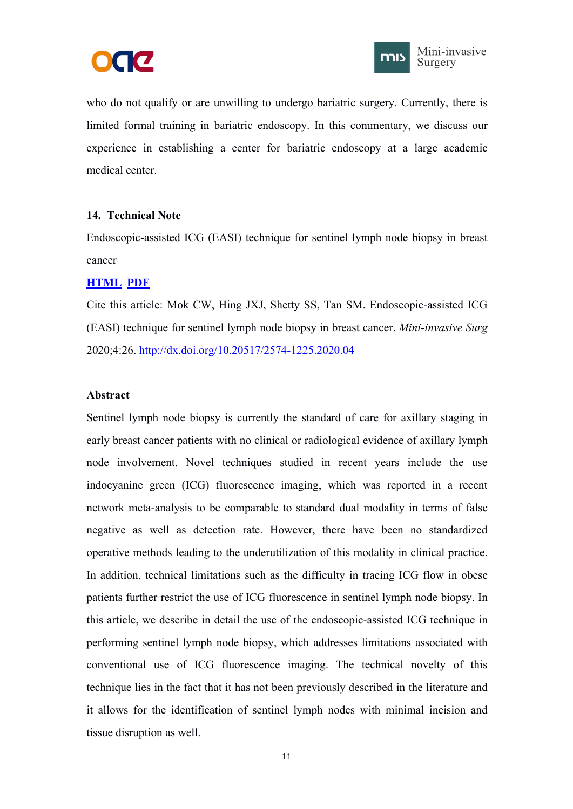



<span id="page-13-1"></span><span id="page-13-0"></span>who do not qualify or are unwilling to undergo bariatric surgery. Currently, there is limited formal training in bariatric endoscopy. In this commentary, we discuss our experience in establishing a center for bariatric endoscopy at a large academic medical center.

## **14. Technical Note**

Endoscopic-assisted ICG (EASI) technique for sentinel lymph node biopsy in breast cancer

## **[HTML](https://misjournal.net/article/view/3452) [PDF](https://oaepublishstorage.blob.core.windows.net/679c0be7-6e74-4874-9edf-66d3ff997851/3452.pdf)**

Cite this article: Mok CW, Hing JXJ, Shetty SS, Tan SM. Endoscopic-assisted ICG (EASI) technique for sentinel lymph node biopsy in breast cancer. *Mini-invasive Surg* 2020;4:26. <http://dx.doi.org/10.20517/2574-1225.2020.04>

## **Abstract**

Sentinel lymph node biopsy is currently the standard of care for axillary staging in early breast cancer patients with no clinical or radiological evidence of axillary lymph node involvement. Novel techniques studied in recent years include the use indocyanine green (ICG) fluorescence imaging, which was reported in a recent network meta-analysis to be comparable to standard dual modality in terms of false negative as well as detection rate. However, there have been no standardized operative methods leading to the underutilization of this modality in clinical practice. In addition, technical limitations such as the difficulty in tracing ICG flow in obese patients further restrict the use of ICG fluorescence in sentinel lymph node biopsy. In this article, we describe in detail the use of the endoscopic-assisted ICG technique in performing sentinel lymph node biopsy, which addresses limitations associated with conventional use of ICG fluorescence imaging. The technical novelty of this technique lies in the fact that it has not been previously described in the literature and it allows for the identification of sentinel lymph nodes with minimal incision and tissue disruption as well.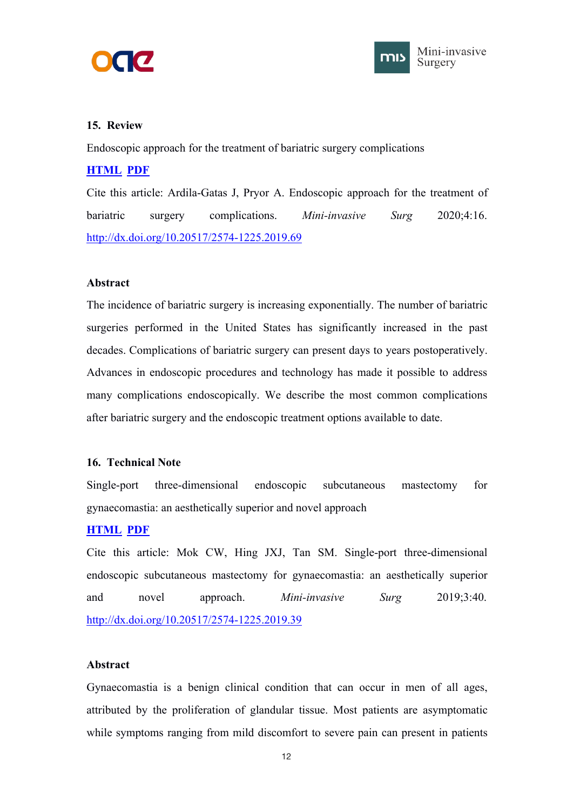



## <span id="page-14-1"></span><span id="page-14-0"></span>**15. Review**

Endoscopic approach for the treatment of bariatric surgery complications

## **[HTML](https://misjournal.net/article/view/3377) [PDF](https://oaepublishstorage.blob.core.windows.net/447dfe5e-660b-4706-a48a-4535aeefae3e/3377.pdf)**

Cite this article: Ardila-Gatas J, Pryor A. Endoscopic approach for the treatment of bariatric surgery complications. *Mini-invasive Surg* 2020;4:16. <http://dx.doi.org/10.20517/2574-1225.2019.69>

## **Abstract**

The incidence of bariatric surgery is increasing exponentially. The number of bariatric surgeries performed in the United States has significantly increased in the past decades. Complications of bariatric surgery can present days to years postoperatively. Advances in endoscopic procedures and technology has made it possible to address many complications endoscopically. We describe the most common complications after bariatric surgery and the endoscopic treatment options available to date.

## **16. Technical Note**

Single-port three-dimensional endoscopic subcutaneous mastectomy for gynaecomastia: an aesthetically superior and novel approach

## **[HTML](https://misjournal.net/article/view/3300) [PDF](https://oaepublishstorage.blob.core.windows.net/59230823-ba55-4aac-8bce-ad92b70224ed/3300.pdf)**

Cite this article: Mok CW, Hing JXJ, Tan SM. Single-port three-dimensional endoscopic subcutaneous mastectomy for gynaecomastia: an aesthetically superior and novel approach. *Mini-invasive Surg* 2019;3:40. <http://dx.doi.org/10.20517/2574-1225.2019.39>

#### **Abstract**

Gynaecomastia is a benign clinical condition that can occur in men of all ages, attributed by the proliferation of glandular tissue. Most patients are asymptomatic while symptoms ranging from mild discomfort to severe pain can present in patients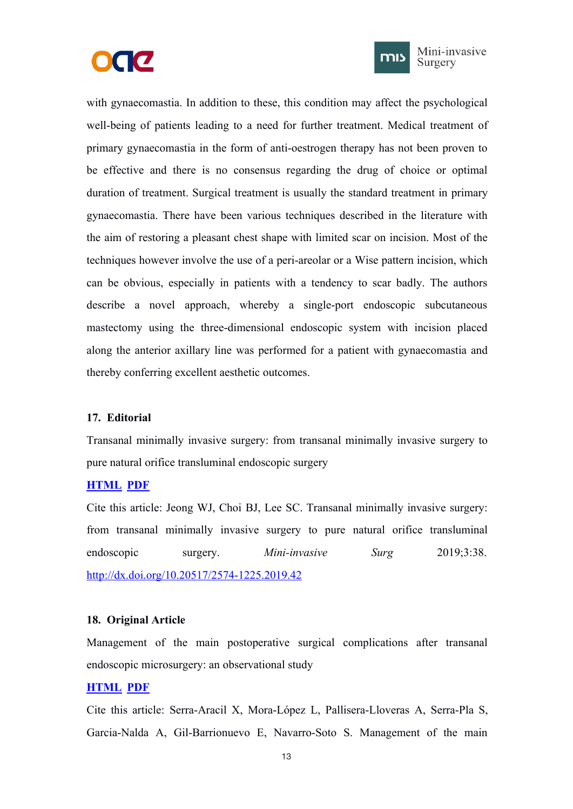



Mini-invasive Surgery

<span id="page-15-1"></span><span id="page-15-0"></span>with gynaecomastia. In addition to these, this condition may affect the psychological well-being of patients leading to a need for further treatment. Medical treatment of primary gynaecomastia in the form of anti-oestrogen therapy has not been proven to be effective and there is no consensus regarding the drug of choice or optimal duration of treatment. Surgical treatment is usually the standard treatment in primary gynaecomastia. There have been various techniques described in the literature with the aim of restoring a pleasant chest shape with limited scar on incision. Most of the techniques however involve the use of a peri-areolar or a Wise pattern incision, which can be obvious, especially in patients with a tendency to scar badly. The authors describe a novel approach, whereby a single-port endoscopic subcutaneous mastectomy using the three-dimensional endoscopic system with incision placed along the anterior axillary line was performed for a patient with gynaecomastia and thereby conferring excellent aesthetic outcomes.

#### **17. Editorial**

Transanal minimally invasive surgery: from transanal minimally invasive surgery to pure natural orifice transluminal endoscopic surgery

#### **[HTML](https://misjournal.net/article/view/3286) [PDF](https://oaepublishstorage.blob.core.windows.net/f691d49f-b0eb-457e-b9c3-afe95f4b7973/3286.pdf)**

Cite this article: Jeong WJ, Choi BJ, Lee SC. Transanal minimally invasive surgery: from transanal minimally invasive surgery to pure natural orifice transluminal endoscopic surgery. *Mini-invasive Surg* 2019;3:38. <http://dx.doi.org/10.20517/2574-1225.2019.42>

## **18. Original Article**

Management of the main postoperative surgical complications after transanal endoscopic microsurgery: an observational study

## **[HTML](https://misjournal.net/article/view/3285) [PDF](https://oaepublishstorage.blob.core.windows.net/e9fdcb8b-562e-435a-986c-94a3ed99e042/3285.pdf)**

Cite this article: Serra-Aracil X, Mora-López L, Pallisera-Lloveras A, Serra-Pla S, Garcia-Nalda A, Gil-Barrionuevo E, Navarro-Soto S. Management of the main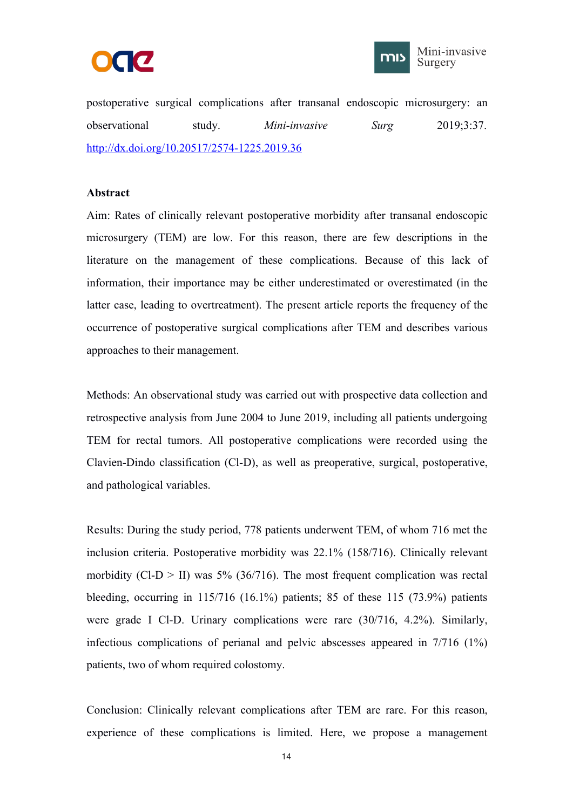



postoperative surgical complications after transanal endoscopic microsurgery: an observational study. *Mini-invasive Surg* 2019;3:37. <http://dx.doi.org/10.20517/2574-1225.2019.36>

#### **Abstract**

Aim: Rates of clinically relevant postoperative morbidity after transanal endoscopic microsurgery (TEM) are low. For this reason, there are few descriptions in the literature on the management of these complications. Because of this lack of information, their importance may be either underestimated or overestimated (in the latter case, leading to overtreatment). The present article reports the frequency of the occurrence of postoperative surgical complications after TEM and describes various approaches to their management.

Methods: An observational study was carried out with prospective data collection and retrospective analysis from June 2004 to June 2019, including all patients undergoing TEM for rectal tumors. All postoperative complications were recorded using the Clavien-Dindo classification (Cl-D), as well as preoperative, surgical, postoperative, and pathological variables.

Results: During the study period, 778 patients underwent TEM, of whom 716 met the inclusion criteria. Postoperative morbidity was 22.1% (158/716). Clinically relevant morbidity (Cl-D  $>$  II) was 5% (36/716). The most frequent complication was rectal bleeding, occurring in  $115/716$  (16.1%) patients; 85 of these 115 (73.9%) patients were grade I Cl-D. Urinary complications were rare (30/716, 4.2%). Similarly, infectious complications of perianal and pelvic abscesses appeared in 7/716 (1%) patients, two of whom required colostomy.

Conclusion: Clinically relevant complications after TEM are rare. For this reason, experience of these complications is limited. Here, we propose a management